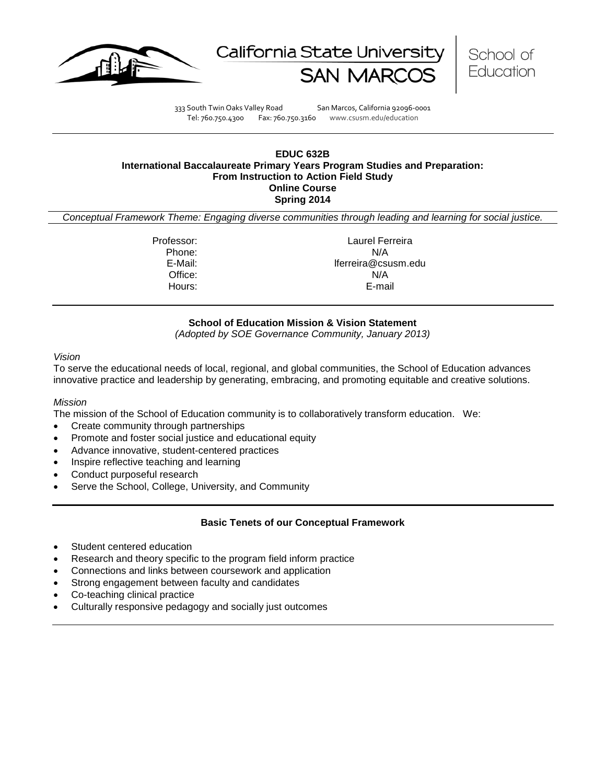





333 South Twin Oaks Valley Road San Marcos, California 92096-0001 Tel: 760.750.4300 Fax: 760.750.3160 www.csusm.edu/education

#### **EDUC 632B International Baccalaureate Primary Years Program Studies and Preparation: From Instruction to Action Field Study Online Course Spring 2014**

*Conceptual Framework Theme: Engaging diverse communities through leading and learning for social justice.*

Professor: Laurel Ferreira Phone: N/A E-Mail: lferreira@csusm.edu Office: N/A Hours: E-mail

# **School of Education Mission & Vision Statement**

*(Adopted by SOE Governance Community, January 2013)*

#### *Vision*

To serve the educational needs of local, regional, and global communities, the School of Education advances innovative practice and leadership by generating, embracing, and promoting equitable and creative solutions.

### *Mission*

The mission of the School of Education community is to collaboratively transform education. We:

- Create community through partnerships
- Promote and foster social justice and educational equity
- Advance innovative, student-centered practices
- Inspire reflective teaching and learning
- Conduct purposeful research
- Serve the School, College, University, and Community

### **Basic Tenets of our Conceptual Framework**

- Student centered education
- Research and theory specific to the program field inform practice
- Connections and links between coursework and application
- Strong engagement between faculty and candidates
- Co-teaching clinical practice
- Culturally responsive pedagogy and socially just outcomes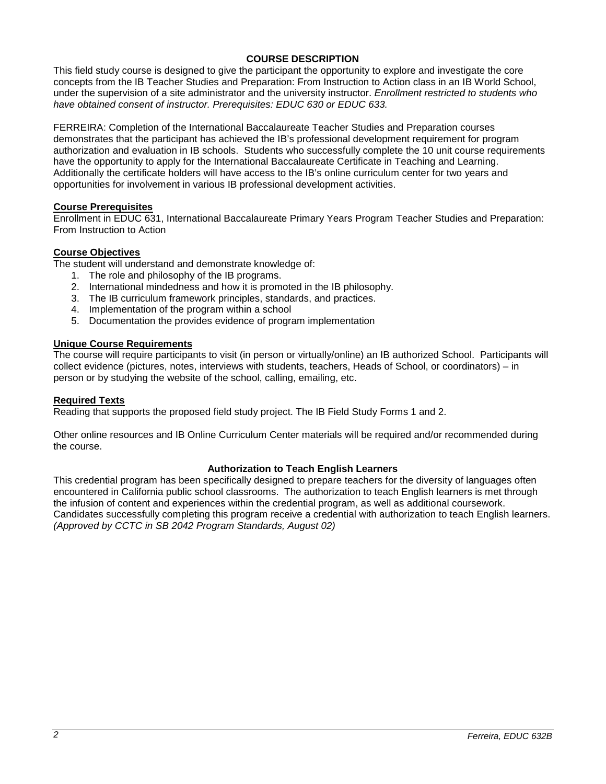# **COURSE DESCRIPTION**

This field study course is designed to give the participant the opportunity to explore and investigate the core concepts from the IB Teacher Studies and Preparation: From Instruction to Action class in an IB World School, under the supervision of a site administrator and the university instructor. *Enrollment restricted to students who have obtained consent of instructor. Prerequisites: EDUC 630 or EDUC 633.*

FERREIRA: Completion of the International Baccalaureate Teacher Studies and Preparation courses demonstrates that the participant has achieved the IB's professional development requirement for program authorization and evaluation in IB schools. Students who successfully complete the 10 unit course requirements have the opportunity to apply for the International Baccalaureate Certificate in Teaching and Learning. Additionally the certificate holders will have access to the IB's online curriculum center for two years and opportunities for involvement in various IB professional development activities.

### **Course Prerequisites**

Enrollment in EDUC 631, International Baccalaureate Primary Years Program Teacher Studies and Preparation: From Instruction to Action

### **Course Objectives**

The student will understand and demonstrate knowledge of:

- 1. The role and philosophy of the IB programs.
- 2. International mindedness and how it is promoted in the IB philosophy.
- 3. The IB curriculum framework principles, standards, and practices.
- 4. Implementation of the program within a school
- 5. Documentation the provides evidence of program implementation

### **Unique Course Requirements**

The course will require participants to visit (in person or virtually/online) an IB authorized School. Participants will collect evidence (pictures, notes, interviews with students, teachers, Heads of School, or coordinators) – in person or by studying the website of the school, calling, emailing, etc.

### **Required Texts**

Reading that supports the proposed field study project. The IB Field Study Forms 1 and 2.

Other online resources and IB Online Curriculum Center materials will be required and/or recommended during the course.

### **Authorization to Teach English Learners**

This credential program has been specifically designed to prepare teachers for the diversity of languages often encountered in California public school classrooms. The authorization to teach English learners is met through the infusion of content and experiences within the credential program, as well as additional coursework. Candidates successfully completing this program receive a credential with authorization to teach English learners. *(Approved by CCTC in SB 2042 Program Standards, August 02)*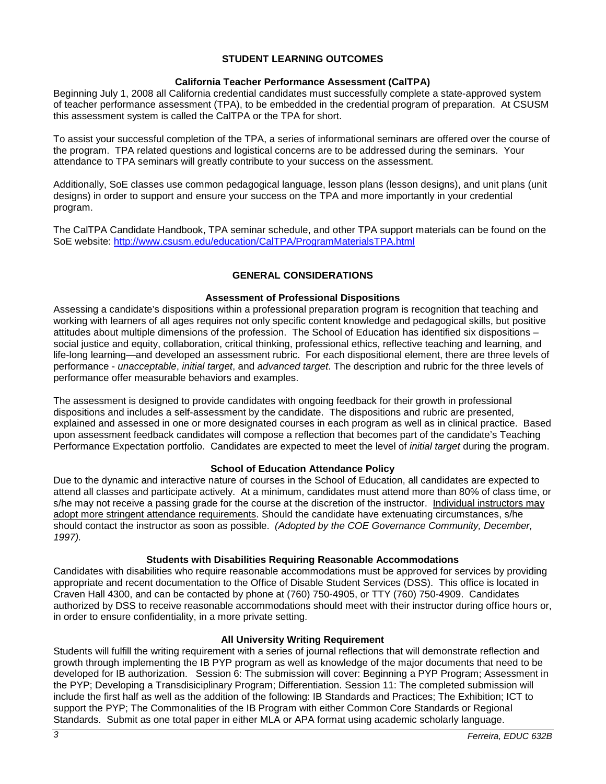### **STUDENT LEARNING OUTCOMES**

### **California Teacher Performance Assessment (CalTPA)**

Beginning July 1, 2008 all California credential candidates must successfully complete a state-approved system of teacher performance assessment (TPA), to be embedded in the credential program of preparation. At CSUSM this assessment system is called the CalTPA or the TPA for short.

To assist your successful completion of the TPA, a series of informational seminars are offered over the course of the program. TPA related questions and logistical concerns are to be addressed during the seminars. Your attendance to TPA seminars will greatly contribute to your success on the assessment.

Additionally, SoE classes use common pedagogical language, lesson plans (lesson designs), and unit plans (unit designs) in order to support and ensure your success on the TPA and more importantly in your credential program.

The CalTPA Candidate Handbook, TPA seminar schedule, and other TPA support materials can be found on the SoE website: <http://www.csusm.edu/education/CalTPA/ProgramMaterialsTPA.html>

# **GENERAL CONSIDERATIONS**

### **Assessment of Professional Dispositions**

Assessing a candidate's dispositions within a professional preparation program is recognition that teaching and working with learners of all ages requires not only specific content knowledge and pedagogical skills, but positive attitudes about multiple dimensions of the profession. The School of Education has identified six dispositions – social justice and equity, collaboration, critical thinking, professional ethics, reflective teaching and learning, and life-long learning—and developed an assessment rubric. For each dispositional element, there are three levels of performance - *unacceptable*, *initial target*, and *advanced target*. The description and rubric for the three levels of performance offer measurable behaviors and examples.

The assessment is designed to provide candidates with ongoing feedback for their growth in professional dispositions and includes a self-assessment by the candidate. The dispositions and rubric are presented, explained and assessed in one or more designated courses in each program as well as in clinical practice. Based upon assessment feedback candidates will compose a reflection that becomes part of the candidate's Teaching Performance Expectation portfolio. Candidates are expected to meet the level of *initial target* during the program.

# **School of Education Attendance Policy**

Due to the dynamic and interactive nature of courses in the School of Education, all candidates are expected to attend all classes and participate actively. At a minimum, candidates must attend more than 80% of class time, or s/he may not receive a passing grade for the course at the discretion of the instructor. Individual instructors may adopt more stringent attendance requirements. Should the candidate have extenuating circumstances, s/he should contact the instructor as soon as possible. *(Adopted by the COE Governance Community, December, 1997).*

### **Students with Disabilities Requiring Reasonable Accommodations**

Candidates with disabilities who require reasonable accommodations must be approved for services by providing appropriate and recent documentation to the Office of Disable Student Services (DSS). This office is located in Craven Hall 4300, and can be contacted by phone at (760) 750-4905, or TTY (760) 750-4909. Candidates authorized by DSS to receive reasonable accommodations should meet with their instructor during office hours or, in order to ensure confidentiality, in a more private setting.

### **All University Writing Requirement**

Students will fulfill the writing requirement with a series of journal reflections that will demonstrate reflection and growth through implementing the IB PYP program as well as knowledge of the major documents that need to be developed for IB authorization. Session 6: The submission will cover: Beginning a PYP Program; Assessment in the PYP; Developing a Transdisiciplinary Program; Differentiation. Session 11: The completed submission will include the first half as well as the addition of the following: IB Standards and Practices; The Exhibition; ICT to support the PYP; The Commonalities of the IB Program with either Common Core Standards or Regional Standards. Submit as one total paper in either MLA or APA format using academic scholarly language.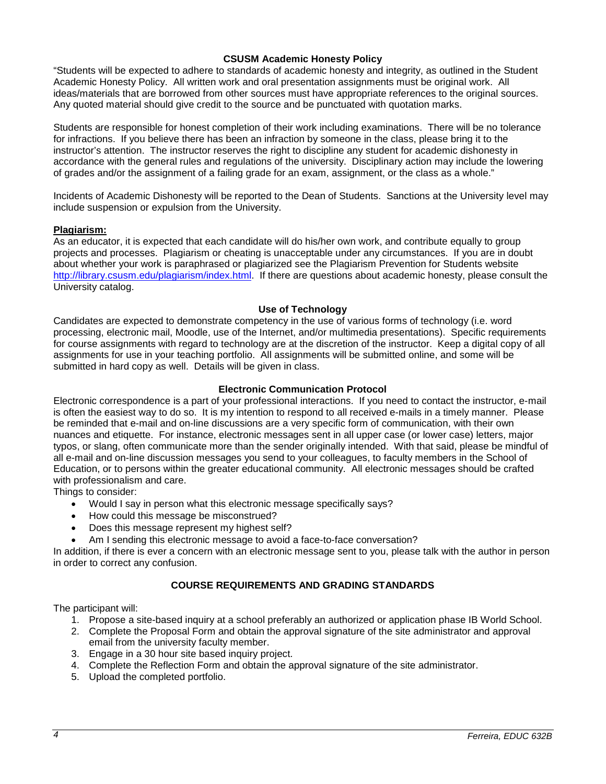### **CSUSM Academic Honesty Policy**

"Students will be expected to adhere to standards of academic honesty and integrity, as outlined in the Student Academic Honesty Policy. All written work and oral presentation assignments must be original work. All ideas/materials that are borrowed from other sources must have appropriate references to the original sources. Any quoted material should give credit to the source and be punctuated with quotation marks.

Students are responsible for honest completion of their work including examinations. There will be no tolerance for infractions. If you believe there has been an infraction by someone in the class, please bring it to the instructor's attention. The instructor reserves the right to discipline any student for academic dishonesty in accordance with the general rules and regulations of the university. Disciplinary action may include the lowering of grades and/or the assignment of a failing grade for an exam, assignment, or the class as a whole."

Incidents of Academic Dishonesty will be reported to the Dean of Students. Sanctions at the University level may include suspension or expulsion from the University.

### **Plagiarism:**

As an educator, it is expected that each candidate will do his/her own work, and contribute equally to group projects and processes. Plagiarism or cheating is unacceptable under any circumstances. If you are in doubt about whether your work is paraphrased or plagiarized see the Plagiarism Prevention for Students website [http://library.csusm.edu/plagiarism/index.html.](http://library.csusm.edu/plagiarism/index.html) If there are questions about academic honesty, please consult the University catalog.

### **Use of Technology**

Candidates are expected to demonstrate competency in the use of various forms of technology (i.e. word processing, electronic mail, Moodle, use of the Internet, and/or multimedia presentations). Specific requirements for course assignments with regard to technology are at the discretion of the instructor. Keep a digital copy of all assignments for use in your teaching portfolio. All assignments will be submitted online, and some will be submitted in hard copy as well. Details will be given in class.

### **Electronic Communication Protocol**

Electronic correspondence is a part of your professional interactions. If you need to contact the instructor, e-mail is often the easiest way to do so. It is my intention to respond to all received e-mails in a timely manner. Please be reminded that e-mail and on-line discussions are a very specific form of communication, with their own nuances and etiquette. For instance, electronic messages sent in all upper case (or lower case) letters, major typos, or slang, often communicate more than the sender originally intended. With that said, please be mindful of all e-mail and on-line discussion messages you send to your colleagues, to faculty members in the School of Education, or to persons within the greater educational community. All electronic messages should be crafted with professionalism and care.

Things to consider:

- Would I say in person what this electronic message specifically says?
- How could this message be misconstrued?
- Does this message represent my highest self?
- Am I sending this electronic message to avoid a face-to-face conversation?

In addition, if there is ever a concern with an electronic message sent to you, please talk with the author in person in order to correct any confusion.

# **COURSE REQUIREMENTS AND GRADING STANDARDS**

The participant will:

- 1. Propose a site-based inquiry at a school preferably an authorized or application phase IB World School.
- 2. Complete the Proposal Form and obtain the approval signature of the site administrator and approval email from the university faculty member.
- 3. Engage in a 30 hour site based inquiry project.
- 4. Complete the Reflection Form and obtain the approval signature of the site administrator.
- 5. Upload the completed portfolio.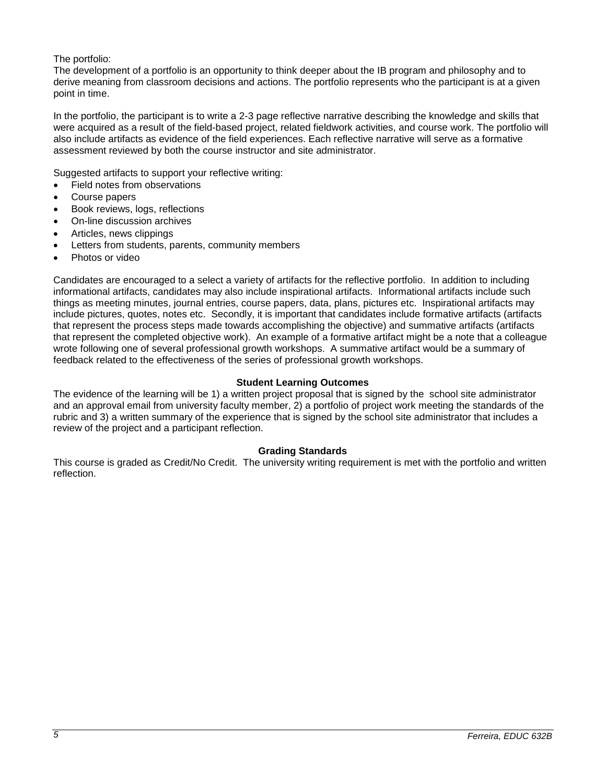# The portfolio:

The development of a portfolio is an opportunity to think deeper about the IB program and philosophy and to derive meaning from classroom decisions and actions. The portfolio represents who the participant is at a given point in time.

In the portfolio, the participant is to write a 2-3 page reflective narrative describing the knowledge and skills that were acquired as a result of the field-based project, related fieldwork activities, and course work. The portfolio will also include artifacts as evidence of the field experiences. Each reflective narrative will serve as a formative assessment reviewed by both the course instructor and site administrator.

Suggested artifacts to support your reflective writing:

- Field notes from observations
- Course papers
- Book reviews, logs, reflections
- On-line discussion archives
- Articles, news clippings
- Letters from students, parents, community members
- Photos or video

Candidates are encouraged to a select a variety of artifacts for the reflective portfolio. In addition to including informational artifacts, candidates may also include inspirational artifacts. Informational artifacts include such things as meeting minutes, journal entries, course papers, data, plans, pictures etc. Inspirational artifacts may include pictures, quotes, notes etc. Secondly, it is important that candidates include formative artifacts (artifacts that represent the process steps made towards accomplishing the objective) and summative artifacts (artifacts that represent the completed objective work). An example of a formative artifact might be a note that a colleague wrote following one of several professional growth workshops. A summative artifact would be a summary of feedback related to the effectiveness of the series of professional growth workshops.

### **Student Learning Outcomes**

The evidence of the learning will be 1) a written project proposal that is signed by the school site administrator and an approval email from university faculty member, 2) a portfolio of project work meeting the standards of the rubric and 3) a written summary of the experience that is signed by the school site administrator that includes a review of the project and a participant reflection.

### **Grading Standards**

This course is graded as Credit/No Credit. The university writing requirement is met with the portfolio and written reflection.